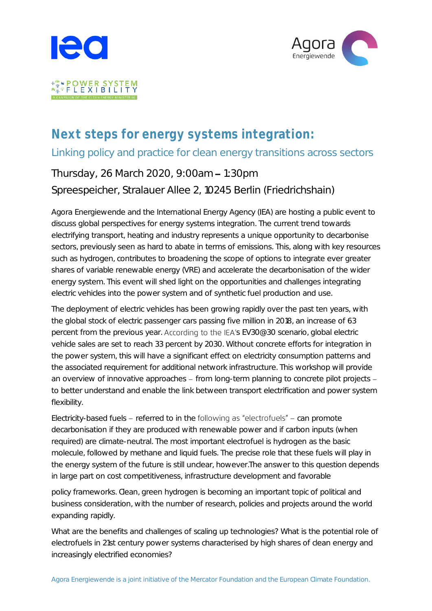



# Next steps for energy systems integration: Linking policy and practice for clean energy transitions across sectors

# Thursday, 26 March 2020, 9:00am - 1:30pm Spreespeicher, Stralauer Allee 2, 10245 Berlin (Friedrichshain)

Agora Energiewende and the International Energy Agency (IEA) are hosting a public event to discuss global perspectives for energy systems integration. The current trend towards electrifying transport, heating and industry represents a unique opportunity to decarbonise sectors, previously seen as hard to abate in terms of emissions. This, along with key resources such as hydrogen, contributes to broadening the scope of options to integrate ever greater shares of variable renewable energy (VRE) and accelerate the decarbonisation of the wider energy system. This event will shed light on the opportunities and challenges integrating electric vehicles into the power system and of synthetic fuel production and use.

The deployment of electric vehicles has been growing rapidly over the past ten years, with the global stock of electric passenger cars passing five million in 2018, an increase of 63 percent from the previous year. According to the IEA's EV30@30 scenario, global electric vehicle sales are set to reach 33 percent by 2030. Without concrete efforts for integration in the power system, this will have a significant effect on electricity consumption patterns and the associated requirement for additional network infrastructure. This workshop will provide an overview of innovative approaches  $-$  from long-term planning to concrete pilot projects  $$ to better understand and enable the link between transport electrification and power system flexibility.

Electricity-based fuels – referred to in the following as "electrofuels" – can promote decarbonisation if they are produced with renewable power and if carbon inputs (when required) are climate-neutral. The most important electrofuel is hydrogen as the basic molecule, followed by methane and liquid fuels. The precise role that these fuels will play in the energy system of the future is still unclear, however.The answer to this question depends in large part on cost competitiveness, infrastructure development and favorable

policy frameworks. Clean, green hydrogen is becoming an important topic of political and business consideration, with the number of research, policies and projects around the world expanding rapidly.

What are the benefits and challenges of scaling up technologies? What is the potential role of electrofuels in 21st century power systems characterised by high shares of clean energy and increasingly electrified economies?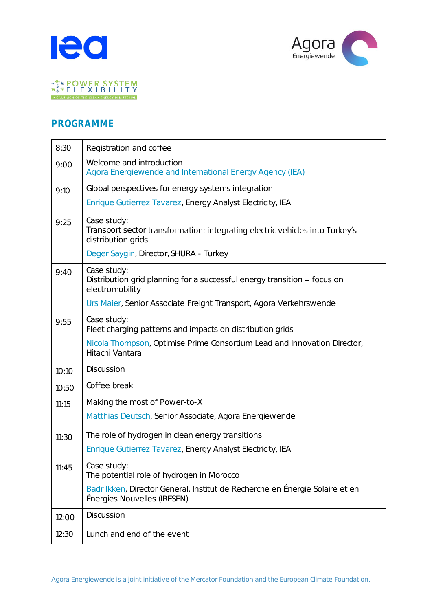



#### PROGRAMME

| 8:30  | Registration and coffee                                                                                           |
|-------|-------------------------------------------------------------------------------------------------------------------|
| 9:00  | Welcome and introduction<br>Agora Energiewende and International Energy Agency (IEA)                              |
| 9:10  | Global perspectives for energy systems integration                                                                |
|       | Enrique Gutierrez Tavarez, Energy Analyst Electricity, IEA                                                        |
| 9:25  | Case study:<br>Transport sector transformation: integrating electric vehicles into Turkey's<br>distribution grids |
|       | Deger Saygin, Director, SHURA - Turkey                                                                            |
| 9:40  | Case study:<br>Distribution grid planning for a successful energy transition - focus on<br>electromobility        |
|       | Urs Maier, Senior Associate Freight Transport, Agora Verkehrswende                                                |
| 9:55  | Case study:<br>Fleet charging patterns and impacts on distribution grids                                          |
|       | Nicola Thompson, Optimise Prime Consortium Lead and Innovation Director,<br>Hitachi Vantara                       |
| 10:10 | Discussion                                                                                                        |
| 10:50 | Coffee break                                                                                                      |
| 11:15 | Making the most of Power-to-X                                                                                     |
|       | Matthias Deutsch, Senior Associate, Agora Energiewende                                                            |
| 11:30 | The role of hydrogen in clean energy transitions                                                                  |
|       | Enrique Gutierrez Tavarez, Energy Analyst Electricity, IEA                                                        |
| 11:45 | Case study:<br>The potential role of hydrogen in Morocco                                                          |
|       | Badr Ikken, Director General, Institut de Recherche en Énergie Solaire et en<br>Énergies Nouvelles (IRESEN)       |
| 12:00 | Discussion                                                                                                        |
| 12:30 | Lunch and end of the event                                                                                        |